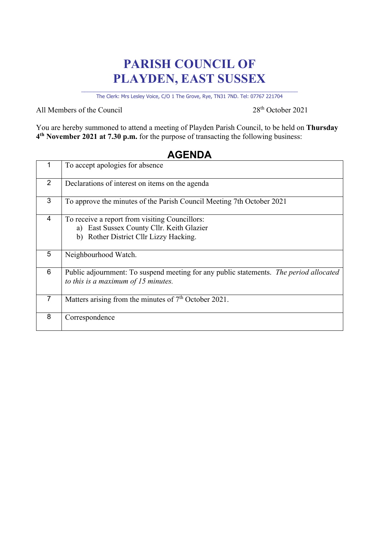## **PARISH COUNCIL OF PLAYDEN, EAST SUSSEX**

\_\_\_\_\_\_\_\_\_\_\_\_\_\_\_\_\_\_\_\_\_\_\_\_\_\_\_\_\_\_\_\_\_\_\_\_\_\_\_\_\_\_\_\_\_\_\_\_\_\_\_\_\_\_\_\_\_\_\_\_\_\_\_\_\_\_\_\_ The Clerk: Mrs Lesley Voice, C/O 1 The Grove, Rye, TN31 7ND. Tel: 07767 221704

All Members of the Council 28<sup>th</sup> October 2021

You are hereby summoned to attend a meeting of Playden Parish Council, to be held on **Thursday 4th November 2021 at 7.30 p.m.** for the purpose of transacting the following business:

|                | To accept apologies for absence                                                                                                       |
|----------------|---------------------------------------------------------------------------------------------------------------------------------------|
| $\overline{2}$ | Declarations of interest on items on the agenda                                                                                       |
| 3              | To approve the minutes of the Parish Council Meeting 7th October 2021                                                                 |
| $\overline{4}$ | To receive a report from visiting Councillors:<br>a) East Sussex County Cllr. Keith Glazier<br>b) Rother District Cllr Lizzy Hacking. |
| 5              | Neighbourhood Watch.                                                                                                                  |
| 6              | Public adjournment: To suspend meeting for any public statements. The period allocated<br>to this is a maximum of $15$ minutes.       |
| $\overline{7}$ | Matters arising from the minutes of 7 <sup>th</sup> October 2021.                                                                     |
| 8              | Correspondence                                                                                                                        |

## **AGENDA**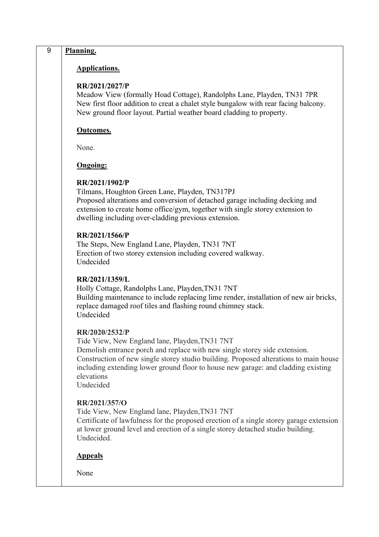| 9 | Planning.                                                                                                                                                                                                                                                                                                                                               |
|---|---------------------------------------------------------------------------------------------------------------------------------------------------------------------------------------------------------------------------------------------------------------------------------------------------------------------------------------------------------|
|   | <b>Applications.</b>                                                                                                                                                                                                                                                                                                                                    |
|   | RR/2021/2027/P<br>Meadow View (formally Hoad Cottage), Randolphs Lane, Playden, TN31 7PR<br>New first floor addition to creat a chalet style bungalow with rear facing balcony.<br>New ground floor layout. Partial weather board cladding to property.                                                                                                 |
|   | Outcomes.                                                                                                                                                                                                                                                                                                                                               |
|   | None.                                                                                                                                                                                                                                                                                                                                                   |
|   | <b>Ongoing:</b>                                                                                                                                                                                                                                                                                                                                         |
|   | RR/2021/1902/P<br>Tilmans, Houghton Green Lane, Playden, TN317PJ<br>Proposed alterations and conversion of detached garage including decking and<br>extension to create home office/gym, together with single storey extension to<br>dwelling including over-cladding previous extension.                                                               |
|   | RR/2021/1566/P<br>The Steps, New England Lane, Playden, TN31 7NT<br>Erection of two storey extension including covered walkway.<br>Undecided                                                                                                                                                                                                            |
|   | RR/2021/1359/L<br>Holly Cottage, Randolphs Lane, Playden, TN31 7NT<br>Building maintenance to include replacing lime render, installation of new air bricks,<br>replace damaged roof tiles and flashing round chimney stack.<br>Undecided                                                                                                               |
|   | RR/2020/2532/P<br>Tide View, New England lane, Playden, TN31 7NT<br>Demolish entrance porch and replace with new single storey side extension.<br>Construction of new single storey studio building. Proposed alterations to main house<br>including extending lower ground floor to house new garage: and cladding existing<br>elevations<br>Undecided |
|   | RR/2021/357/O<br>Tide View, New England lane, Playden, TN31 7NT<br>Certificate of lawfulness for the proposed erection of a single storey garage extension<br>at lower ground level and erection of a single storey detached studio building.<br>Undecided.                                                                                             |
|   | <b>Appeals</b>                                                                                                                                                                                                                                                                                                                                          |
|   | None                                                                                                                                                                                                                                                                                                                                                    |
|   |                                                                                                                                                                                                                                                                                                                                                         |